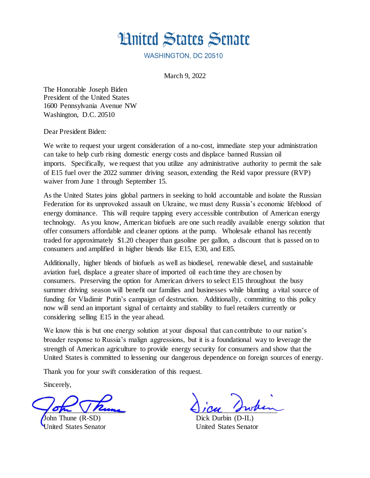

WASHINGTON, DC 20510

March 9, 2022

The Honorable Joseph Biden President of the United States 1600 Pennsylvania Avenue NW Washington, D.C. 20510

Dear President Biden:

We write to request your urgent consideration of a no-cost, immediate step your administration can take to help curb rising domestic energy costs and displace banned Russian oil imports. Specifically, we request that you utilize any administrative authority to permit the sale of E15 fuel over the 2022 summer driving season, extending the Reid vapor pressure (RVP) waiver from June 1 through September 15.

As the United States joins global partners in seeking to hold accountable and isolate the Russian Federation for its unprovoked assault on Ukraine, we must deny Russia's economic lifeblood of energy dominance. This will require tapping every accessible contribution of American energy technology. As you know, American biofuels are one such readily available energy solution that offer consumers affordable and cleaner options at the pump. Wholesale ethanol has recently traded for approximately \$1.20 cheaper than gasoline per gallon, a discount that is passed on to consumers and amplified in higher blends like E15, E30, and E85.

Additionally, higher blends of biofuels as well as biodiesel, renewable diesel, and sustainable aviation fuel, displace a greater share of imported oil each time they are chosen by consumers. Preserving the option for American drivers to select E15 throughout the busy summer driving season will benefit our families and businesses while blunting a vital source of funding for Vladimir Putin's campaign of destruction. Additionally, committing to this policy now will send an important signal of certainty and stability to fuel retailers currently or considering selling E15 in the year ahead.

We know this is but one energy solution at your disposal that can contribute to our nation's broader response to Russia's malign aggressions, but it is a foundational way to leverage the strength of American agriculture to provide energy security for consumers and show that the United States is committed to lessening our dangerous dependence on foreign sources of energy.

Thank you for your swift consideration of this request.

Sincerely,

 $\sqrt{\sigma_{\mu\mu}}\sqrt{\mu_{\mu\nu\rho\sigma_{\nu}}}$ 

John Thune (R-SD) United States Senator

 $JICU$  swhen

Dick Durbin (D-IL) United States Senator